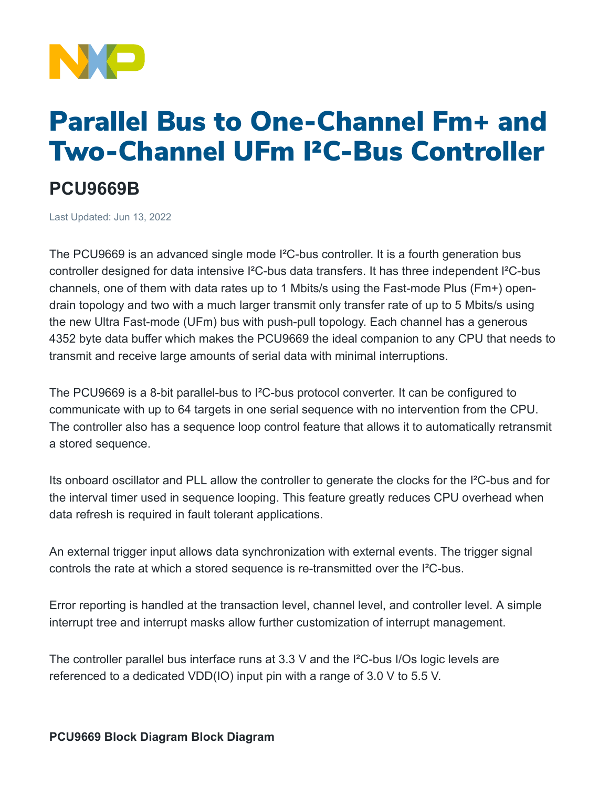

## Parallel Bus to One-Channel Fm+ and Two-Channel UFm I²C-Bus Controller

## **PCU9669B**

Last Updated: Jun 13, 2022

The PCU9669 is an advanced single mode I²C-bus controller. It is a fourth generation bus controller designed for data intensive I²C-bus data transfers. It has three independent I²C-bus channels, one of them with data rates up to 1 Mbits/s using the Fast-mode Plus (Fm+) opendrain topology and two with a much larger transmit only transfer rate of up to 5 Mbits/s using the new Ultra Fast-mode (UFm) bus with push-pull topology. Each channel has a generous 4352 byte data buffer which makes the PCU9669 the ideal companion to any CPU that needs to transmit and receive large amounts of serial data with minimal interruptions.

The PCU9669 is a 8-bit parallel-bus to I²C-bus protocol converter. It can be configured to communicate with up to 64 targets in one serial sequence with no intervention from the CPU. The controller also has a sequence loop control feature that allows it to automatically retransmit a stored sequence.

Its onboard oscillator and PLL allow the controller to generate the clocks for the I²C-bus and for the interval timer used in sequence looping. This feature greatly reduces CPU overhead when data refresh is required in fault tolerant applications.

An external trigger input allows data synchronization with external events. The trigger signal controls the rate at which a stored sequence is re-transmitted over the I²C-bus.

Error reporting is handled at the transaction level, channel level, and controller level. A simple interrupt tree and interrupt masks allow further customization of interrupt management.

The controller parallel bus interface runs at 3.3 V and the I²C-bus I/Os logic levels are referenced to a dedicated VDD(IO) input pin with a range of 3.0 V to 5.5 V.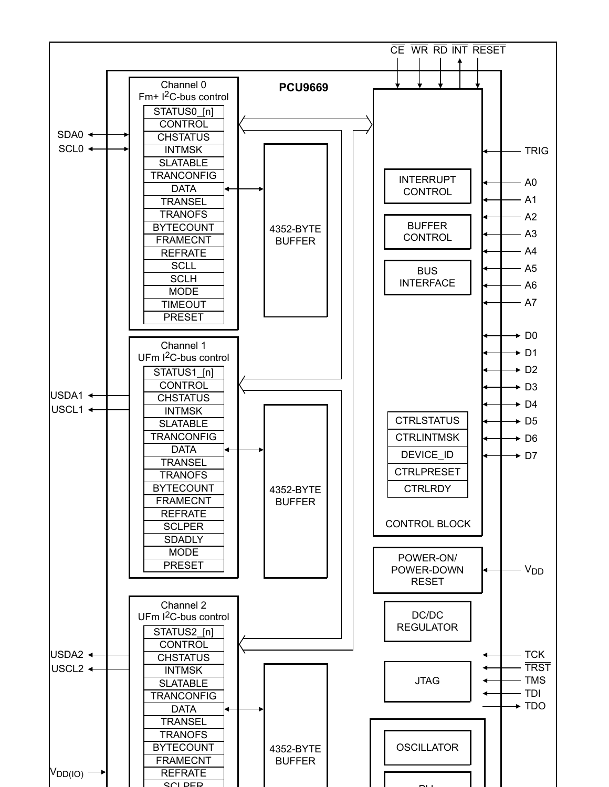